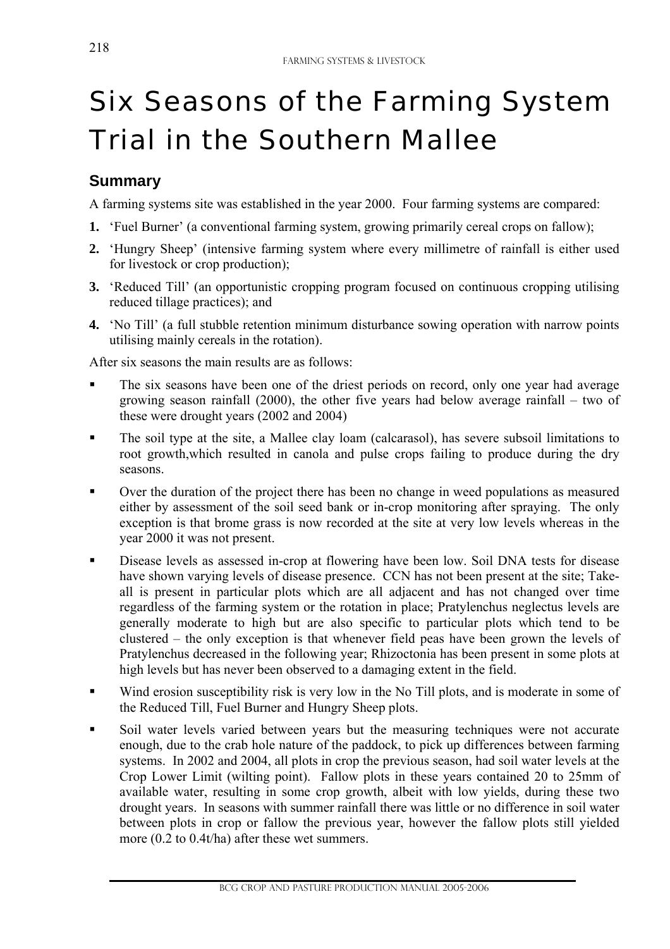# Six Seasons of the Farming System Trial in the Southern Mallee

# **Summary**

l

A farming systems site was established in the year 2000. Four farming systems are compared:

- **1.** 'Fuel Burner' (a conventional farming system, growing primarily cereal crops on fallow);
- **2.** 'Hungry Sheep' (intensive farming system where every millimetre of rainfall is either used for livestock or crop production);
- **3.** 'Reduced Till' (an opportunistic cropping program focused on continuous cropping utilising reduced tillage practices); and
- **4.** 'No Till' (a full stubble retention minimum disturbance sowing operation with narrow points utilising mainly cereals in the rotation).

After six seasons the main results are as follows:

- The six seasons have been one of the driest periods on record, only one year had average growing season rainfall (2000), the other five years had below average rainfall – two of these were drought years (2002 and 2004)
- The soil type at the site, a Mallee clay loam (calcarasol), has severe subsoil limitations to root growth,which resulted in canola and pulse crops failing to produce during the dry seasons.
- Over the duration of the project there has been no change in weed populations as measured either by assessment of the soil seed bank or in-crop monitoring after spraying. The only exception is that brome grass is now recorded at the site at very low levels whereas in the year 2000 it was not present.
- Disease levels as assessed in-crop at flowering have been low. Soil DNA tests for disease have shown varying levels of disease presence. CCN has not been present at the site; Takeall is present in particular plots which are all adjacent and has not changed over time regardless of the farming system or the rotation in place; Pratylenchus neglectus levels are generally moderate to high but are also specific to particular plots which tend to be clustered – the only exception is that whenever field peas have been grown the levels of Pratylenchus decreased in the following year; Rhizoctonia has been present in some plots at high levels but has never been observed to a damaging extent in the field.
- Wind erosion susceptibility risk is very low in the No Till plots, and is moderate in some of the Reduced Till, Fuel Burner and Hungry Sheep plots.
- Soil water levels varied between years but the measuring techniques were not accurate enough, due to the crab hole nature of the paddock, to pick up differences between farming systems. In 2002 and 2004, all plots in crop the previous season, had soil water levels at the Crop Lower Limit (wilting point). Fallow plots in these years contained 20 to 25mm of available water, resulting in some crop growth, albeit with low yields, during these two drought years. In seasons with summer rainfall there was little or no difference in soil water between plots in crop or fallow the previous year, however the fallow plots still yielded more (0.2 to 0.4t/ha) after these wet summers.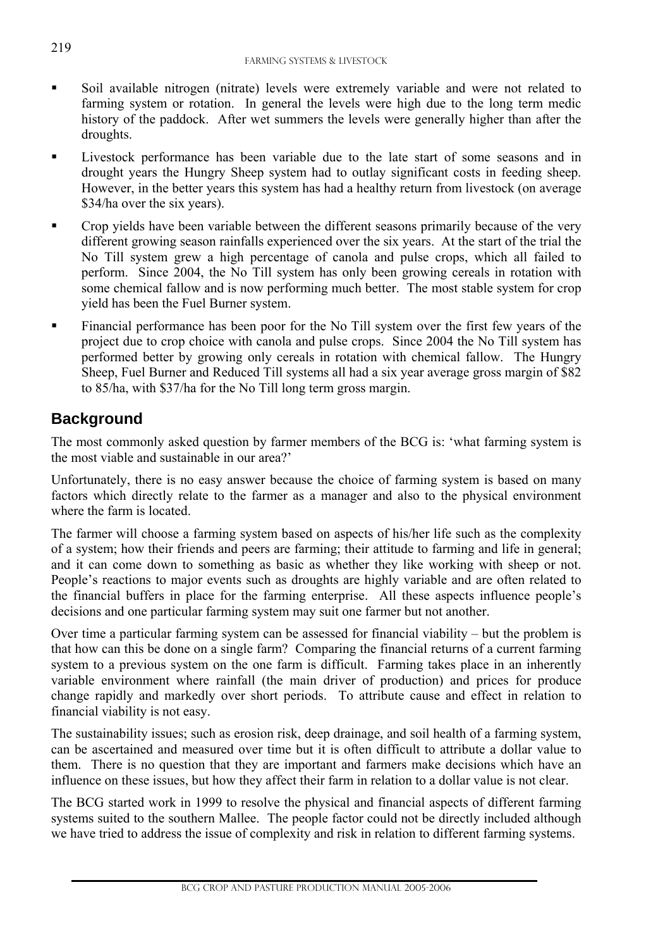- Soil available nitrogen (nitrate) levels were extremely variable and were not related to farming system or rotation. In general the levels were high due to the long term medic history of the paddock. After wet summers the levels were generally higher than after the droughts.
- Livestock performance has been variable due to the late start of some seasons and in drought years the Hungry Sheep system had to outlay significant costs in feeding sheep. However, in the better years this system has had a healthy return from livestock (on average \$34/ha over the six years).
- Crop yields have been variable between the different seasons primarily because of the very different growing season rainfalls experienced over the six years. At the start of the trial the No Till system grew a high percentage of canola and pulse crops, which all failed to perform. Since 2004, the No Till system has only been growing cereals in rotation with some chemical fallow and is now performing much better. The most stable system for crop yield has been the Fuel Burner system.
- **Financial performance has been poor for the No Till system over the first few years of the** project due to crop choice with canola and pulse crops. Since 2004 the No Till system has performed better by growing only cereals in rotation with chemical fallow. The Hungry Sheep, Fuel Burner and Reduced Till systems all had a six year average gross margin of \$82 to 85/ha, with \$37/ha for the No Till long term gross margin.

# **Background**

l,

The most commonly asked question by farmer members of the BCG is: 'what farming system is the most viable and sustainable in our area?'

Unfortunately, there is no easy answer because the choice of farming system is based on many factors which directly relate to the farmer as a manager and also to the physical environment where the farm is located.

The farmer will choose a farming system based on aspects of his/her life such as the complexity of a system; how their friends and peers are farming; their attitude to farming and life in general; and it can come down to something as basic as whether they like working with sheep or not. People's reactions to major events such as droughts are highly variable and are often related to the financial buffers in place for the farming enterprise. All these aspects influence people's decisions and one particular farming system may suit one farmer but not another.

Over time a particular farming system can be assessed for financial viability – but the problem is that how can this be done on a single farm? Comparing the financial returns of a current farming system to a previous system on the one farm is difficult. Farming takes place in an inherently variable environment where rainfall (the main driver of production) and prices for produce change rapidly and markedly over short periods. To attribute cause and effect in relation to financial viability is not easy.

The sustainability issues; such as erosion risk, deep drainage, and soil health of a farming system, can be ascertained and measured over time but it is often difficult to attribute a dollar value to them. There is no question that they are important and farmers make decisions which have an influence on these issues, but how they affect their farm in relation to a dollar value is not clear.

The BCG started work in 1999 to resolve the physical and financial aspects of different farming systems suited to the southern Mallee. The people factor could not be directly included although we have tried to address the issue of complexity and risk in relation to different farming systems.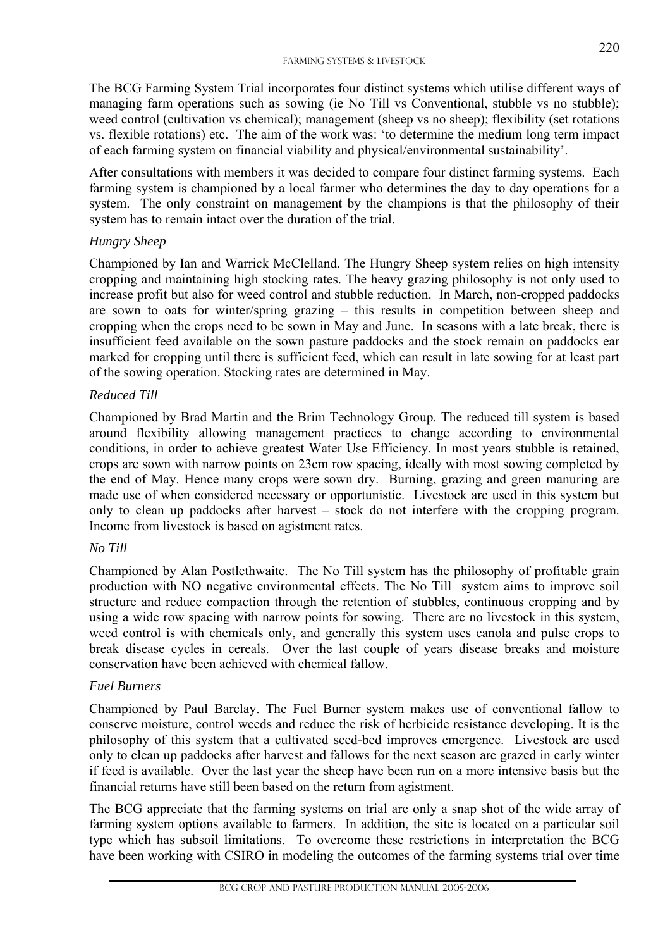The BCG Farming System Trial incorporates four distinct systems which utilise different ways of managing farm operations such as sowing (ie No Till vs Conventional, stubble vs no stubble); weed control (cultivation vs chemical); management (sheep vs no sheep); flexibility (set rotations vs. flexible rotations) etc. The aim of the work was: 'to determine the medium long term impact of each farming system on financial viability and physical/environmental sustainability'.

After consultations with members it was decided to compare four distinct farming systems. Each farming system is championed by a local farmer who determines the day to day operations for a system. The only constraint on management by the champions is that the philosophy of their system has to remain intact over the duration of the trial.

#### *Hungry Sheep*

Championed by Ian and Warrick McClelland. The Hungry Sheep system relies on high intensity cropping and maintaining high stocking rates. The heavy grazing philosophy is not only used to increase profit but also for weed control and stubble reduction. In March, non-cropped paddocks are sown to oats for winter/spring grazing – this results in competition between sheep and cropping when the crops need to be sown in May and June. In seasons with a late break, there is insufficient feed available on the sown pasture paddocks and the stock remain on paddocks ear marked for cropping until there is sufficient feed, which can result in late sowing for at least part of the sowing operation. Stocking rates are determined in May.

### *Reduced Till*

Championed by Brad Martin and the Brim Technology Group. The reduced till system is based around flexibility allowing management practices to change according to environmental conditions, in order to achieve greatest Water Use Efficiency. In most years stubble is retained, crops are sown with narrow points on 23cm row spacing, ideally with most sowing completed by the end of May. Hence many crops were sown dry. Burning, grazing and green manuring are made use of when considered necessary or opportunistic. Livestock are used in this system but only to clean up paddocks after harvest – stock do not interfere with the cropping program. Income from livestock is based on agistment rates.

#### *No Till*

Championed by Alan Postlethwaite. The No Till system has the philosophy of profitable grain production with NO negative environmental effects. The No Till system aims to improve soil structure and reduce compaction through the retention of stubbles, continuous cropping and by using a wide row spacing with narrow points for sowing. There are no livestock in this system, weed control is with chemicals only, and generally this system uses canola and pulse crops to break disease cycles in cereals. Over the last couple of years disease breaks and moisture conservation have been achieved with chemical fallow.

#### *Fuel Burners*

l

Championed by Paul Barclay. The Fuel Burner system makes use of conventional fallow to conserve moisture, control weeds and reduce the risk of herbicide resistance developing. It is the philosophy of this system that a cultivated seed-bed improves emergence. Livestock are used only to clean up paddocks after harvest and fallows for the next season are grazed in early winter if feed is available. Over the last year the sheep have been run on a more intensive basis but the financial returns have still been based on the return from agistment.

The BCG appreciate that the farming systems on trial are only a snap shot of the wide array of farming system options available to farmers. In addition, the site is located on a particular soil type which has subsoil limitations. To overcome these restrictions in interpretation the BCG have been working with CSIRO in modeling the outcomes of the farming systems trial over time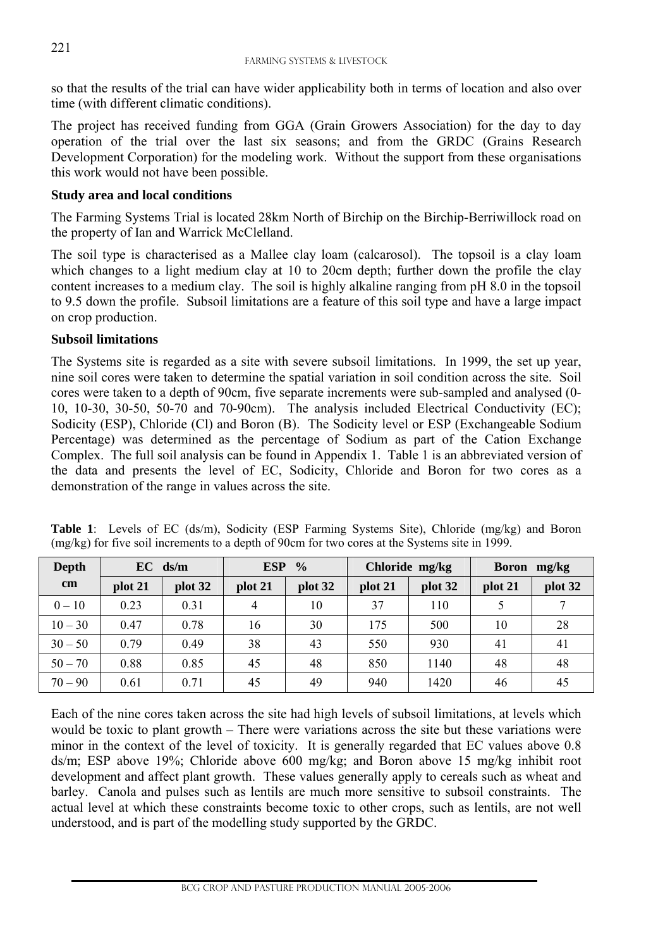so that the results of the trial can have wider applicability both in terms of location and also over time (with different climatic conditions).

The project has received funding from GGA (Grain Growers Association) for the day to day operation of the trial over the last six seasons; and from the GRDC (Grains Research Development Corporation) for the modeling work. Without the support from these organisations this work would not have been possible.

#### **Study area and local conditions**

The Farming Systems Trial is located 28km North of Birchip on the Birchip-Berriwillock road on the property of Ian and Warrick McClelland.

The soil type is characterised as a Mallee clay loam (calcarosol). The topsoil is a clay loam which changes to a light medium clay at 10 to 20cm depth; further down the profile the clay content increases to a medium clay. The soil is highly alkaline ranging from pH 8.0 in the topsoil to 9.5 down the profile. Subsoil limitations are a feature of this soil type and have a large impact on crop production.

#### **Subsoil limitations**

l,

The Systems site is regarded as a site with severe subsoil limitations. In 1999, the set up year, nine soil cores were taken to determine the spatial variation in soil condition across the site. Soil cores were taken to a depth of 90cm, five separate increments were sub-sampled and analysed (0- 10, 10-30, 30-50, 50-70 and 70-90cm). The analysis included Electrical Conductivity (EC); Sodicity (ESP), Chloride (Cl) and Boron (B). The Sodicity level or ESP (Exchangeable Sodium Percentage) was determined as the percentage of Sodium as part of the Cation Exchange Complex. The full soil analysis can be found in Appendix 1. Table 1 is an abbreviated version of the data and presents the level of EC, Sodicity, Chloride and Boron for two cores as a demonstration of the range in values across the site.

| Depth         |         | $EC$ ds/m | <b>ESP</b>     | $\frac{0}{0}$ | Chloride mg/kg |         | <b>Boron</b><br>mg/kg |         |  |  |
|---------------|---------|-----------|----------------|---------------|----------------|---------|-----------------------|---------|--|--|
| $\mathbf{cm}$ | plot 21 | plot 32   | plot 21        | plot 32       | plot 21        | plot 32 | plot 21               | plot 32 |  |  |
| $0 - 10$      | 0.23    | 0.31      | $\overline{4}$ | 10            | 37             | 110     |                       |         |  |  |
| $10 - 30$     | 0.47    | 0.78      | 16             | 30            | 175            | 500     | 10                    | 28      |  |  |
| $30 - 50$     | 0.79    | 0.49      | 38             | 43            | 550            | 930     | 41                    | 41      |  |  |
| $50 - 70$     | 0.88    | 0.85      | 45             | 48            | 850            | 1140    | 48                    | 48      |  |  |
| $70 - 90$     | 0.61    | 0.71      | 45             | 49            | 940            | 1420    | 46                    | 45      |  |  |

**Table 1**: Levels of EC (ds/m), Sodicity (ESP Farming Systems Site), Chloride (mg/kg) and Boron (mg/kg) for five soil increments to a depth of 90cm for two cores at the Systems site in 1999.

Each of the nine cores taken across the site had high levels of subsoil limitations, at levels which would be toxic to plant growth – There were variations across the site but these variations were minor in the context of the level of toxicity. It is generally regarded that EC values above 0.8 ds/m; ESP above 19%; Chloride above 600 mg/kg; and Boron above 15 mg/kg inhibit root development and affect plant growth. These values generally apply to cereals such as wheat and barley. Canola and pulses such as lentils are much more sensitive to subsoil constraints. The actual level at which these constraints become toxic to other crops, such as lentils, are not well understood, and is part of the modelling study supported by the GRDC.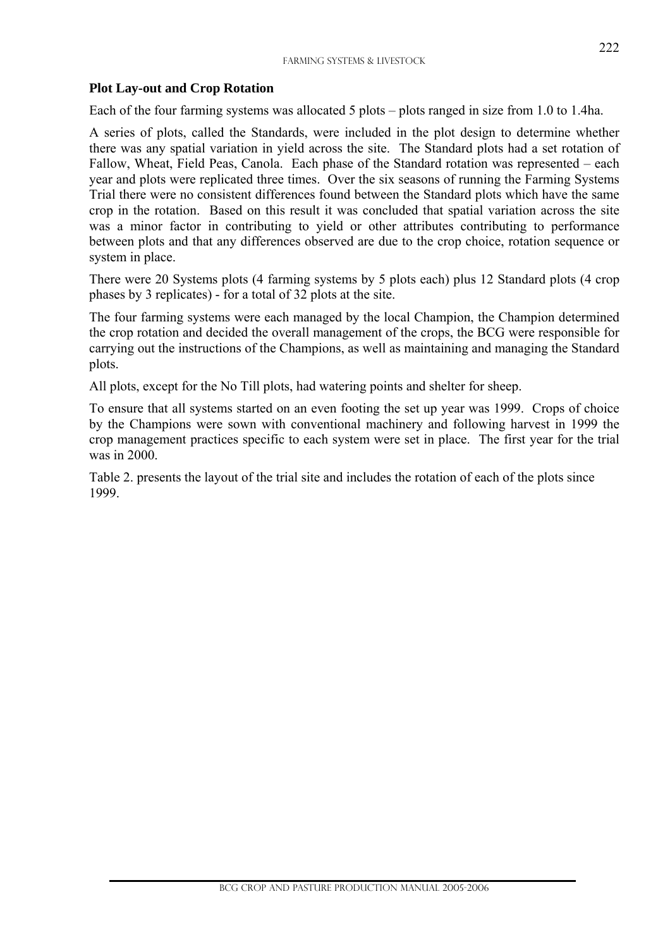#### **Plot Lay-out and Crop Rotation**

l

Each of the four farming systems was allocated 5 plots – plots ranged in size from 1.0 to 1.4ha.

A series of plots, called the Standards, were included in the plot design to determine whether there was any spatial variation in yield across the site. The Standard plots had a set rotation of Fallow, Wheat, Field Peas, Canola. Each phase of the Standard rotation was represented – each year and plots were replicated three times. Over the six seasons of running the Farming Systems Trial there were no consistent differences found between the Standard plots which have the same crop in the rotation. Based on this result it was concluded that spatial variation across the site was a minor factor in contributing to yield or other attributes contributing to performance between plots and that any differences observed are due to the crop choice, rotation sequence or system in place.

There were 20 Systems plots (4 farming systems by 5 plots each) plus 12 Standard plots (4 crop phases by 3 replicates) - for a total of 32 plots at the site.

The four farming systems were each managed by the local Champion, the Champion determined the crop rotation and decided the overall management of the crops, the BCG were responsible for carrying out the instructions of the Champions, as well as maintaining and managing the Standard plots.

All plots, except for the No Till plots, had watering points and shelter for sheep.

To ensure that all systems started on an even footing the set up year was 1999. Crops of choice by the Champions were sown with conventional machinery and following harvest in 1999 the crop management practices specific to each system were set in place. The first year for the trial was in 2000.

Table 2. presents the layout of the trial site and includes the rotation of each of the plots since 1999.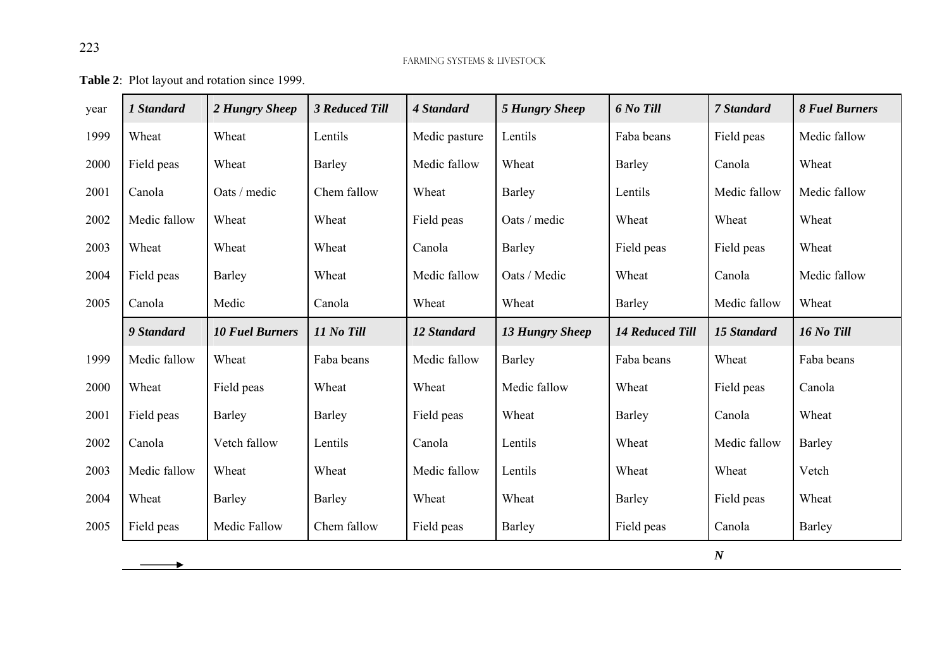**Table 2**: Plot layout and rotation since 1999.

 $\blacktriangleright$ 

| year | 1 Standard   | 2 Hungry Sheep         | <b>3 Reduced Till</b> | 4 Standard    | <b>5 Hungry Sheep</b>  | 6 No Till              | 7 Standard         | <b>8 Fuel Burners</b> |
|------|--------------|------------------------|-----------------------|---------------|------------------------|------------------------|--------------------|-----------------------|
| 1999 | Wheat        | Wheat                  | Lentils               | Medic pasture | Lentils                | Faba beans             | Field peas         | Medic fallow          |
| 2000 | Field peas   | Wheat                  | Barley                | Medic fallow  | Wheat                  | Barley                 | Canola             | Wheat                 |
| 2001 | Canola       | Oats / medic           | Chem fallow           | Wheat         | <b>Barley</b>          | Lentils                | Medic fallow       | Medic fallow          |
| 2002 | Medic fallow | Wheat                  | Wheat                 | Field peas    | Oats / medic           | Wheat                  | Wheat              | Wheat                 |
| 2003 | Wheat        | Wheat                  | Wheat                 | Canola        | <b>Barley</b>          | Field peas             | Field peas         | Wheat                 |
| 2004 | Field peas   | <b>Barley</b>          | Wheat                 | Medic fallow  | Oats / Medic           | Wheat                  | Canola             | Medic fallow          |
| 2005 | Canola       | Medic                  | Canola                | Wheat         | Wheat                  | Barley                 | Medic fallow       | Wheat                 |
|      | 9 Standard   | <b>10 Fuel Burners</b> | 11 No Till            | 12 Standard   | <b>13 Hungry Sheep</b> | <b>14 Reduced Till</b> | <b>15 Standard</b> | 16 No Till            |
| 1999 | Medic fallow | Wheat                  | Faba beans            | Medic fallow  | <b>Barley</b>          | Faba beans             | Wheat              | Faba beans            |
| 2000 | Wheat        | Field peas             | Wheat                 | Wheat         | Medic fallow           | Wheat                  | Field peas         | Canola                |
| 2001 | Field peas   | Barley                 | Barley                | Field peas    | Wheat                  | Barley                 | Canola             | Wheat                 |
| 2002 | Canola       | Vetch fallow           | Lentils               | Canola        | Lentils                | Wheat                  | Medic fallow       | Barley                |
| 2003 | Medic fallow | Wheat                  | Wheat                 | Medic fallow  | Lentils                | Wheat                  | Wheat              | Vetch                 |
| 2004 | Wheat        | <b>Barley</b>          | Barley                | Wheat         | Wheat                  | Barley                 | Field peas         | Wheat                 |
| 2005 | Field peas   | Medic Fallow           | Chem fallow           | Field peas    | Barley                 | Field peas             | Canola             | Barley                |
|      |              |                        |                       |               |                        |                        | $\boldsymbol{N}$   |                       |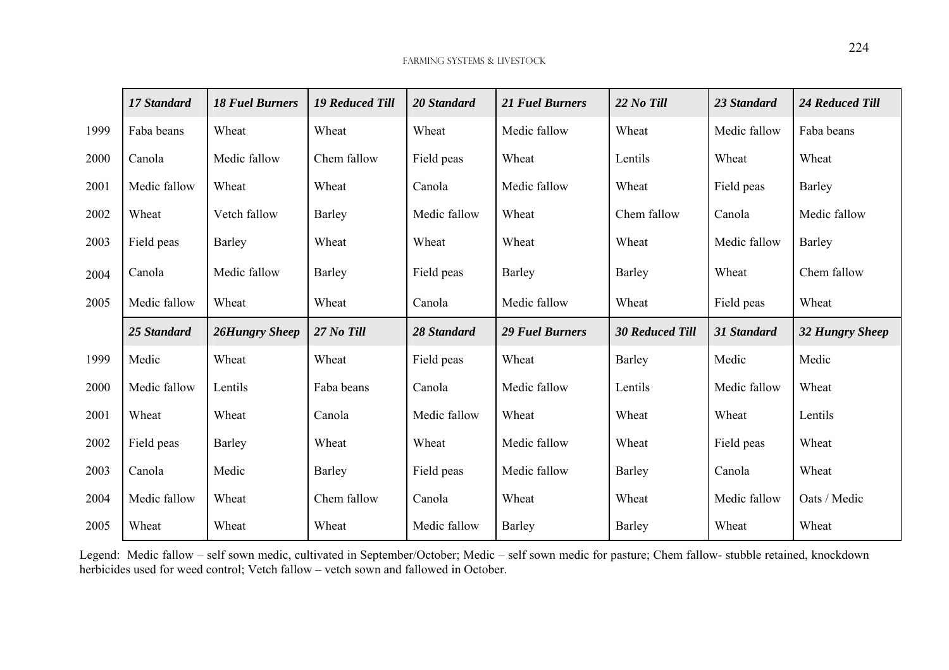|      | 17 Standard  | <b>18 Fuel Burners</b> | <b>19 Reduced Till</b> | 20 Standard  | <b>21 Fuel Burners</b> | 22 No Till             | 23 Standard  | 24 Reduced Till        |
|------|--------------|------------------------|------------------------|--------------|------------------------|------------------------|--------------|------------------------|
| 1999 | Faba beans   | Wheat                  | Wheat                  | Wheat        | Medic fallow           | Wheat                  | Medic fallow | Faba beans             |
| 2000 | Canola       | Medic fallow           | Chem fallow            | Field peas   | Wheat                  | Lentils                | Wheat        | Wheat                  |
| 2001 | Medic fallow | Wheat                  | Wheat                  | Canola       | Medic fallow           | Wheat                  | Field peas   | Barley                 |
| 2002 | Wheat        | Vetch fallow           | <b>Barley</b>          | Medic fallow | Wheat                  | Chem fallow            | Canola       | Medic fallow           |
| 2003 | Field peas   | <b>Barley</b>          | Wheat                  | Wheat        | Wheat                  | Wheat                  | Medic fallow | Barley                 |
| 2004 | Canola       | Medic fallow           | Barley                 | Field peas   | Barley                 | Barley                 | Wheat        | Chem fallow            |
| 2005 | Medic fallow | Wheat                  | Wheat                  | Canola       | Medic fallow           | Wheat                  | Field peas   | Wheat                  |
|      | 25 Standard  | 26Hungry Sheep         | 27 No Till             | 28 Standard  | <b>29 Fuel Burners</b> | <b>30 Reduced Till</b> | 31 Standard  | <b>32 Hungry Sheep</b> |
| 1999 | Medic        | Wheat                  | Wheat                  | Field peas   | Wheat                  | Barley                 | Medic        | Medic                  |
| 2000 | Medic fallow | Lentils                | Faba beans             | Canola       | Medic fallow           | Lentils                | Medic fallow | Wheat                  |
| 2001 | Wheat        | Wheat                  | Canola                 | Medic fallow | Wheat                  | Wheat                  | Wheat        | Lentils                |
| 2002 | Field peas   | Barley                 | Wheat                  | Wheat        | Medic fallow           | Wheat                  | Field peas   | Wheat                  |
| 2003 | Canola       | Medic                  | Barley                 | Field peas   | Medic fallow           | Barley                 | Canola       | Wheat                  |
| 2004 | Medic fallow | Wheat                  | Chem fallow            | Canola       | Wheat                  | Wheat                  | Medic fallow | Oats / Medic           |
| 2005 | Wheat        | Wheat                  | Wheat                  | Medic fallow | Barley                 | Barley                 | Wheat        | Wheat                  |

Legend: Medic fallow – self sown medic, cultivated in September/October; Medic – self sown medic for pasture; Chem fallow- stubble retained, knockdown herbicides used for weed control; Vetch fallow – vetch sown and fallowed in October.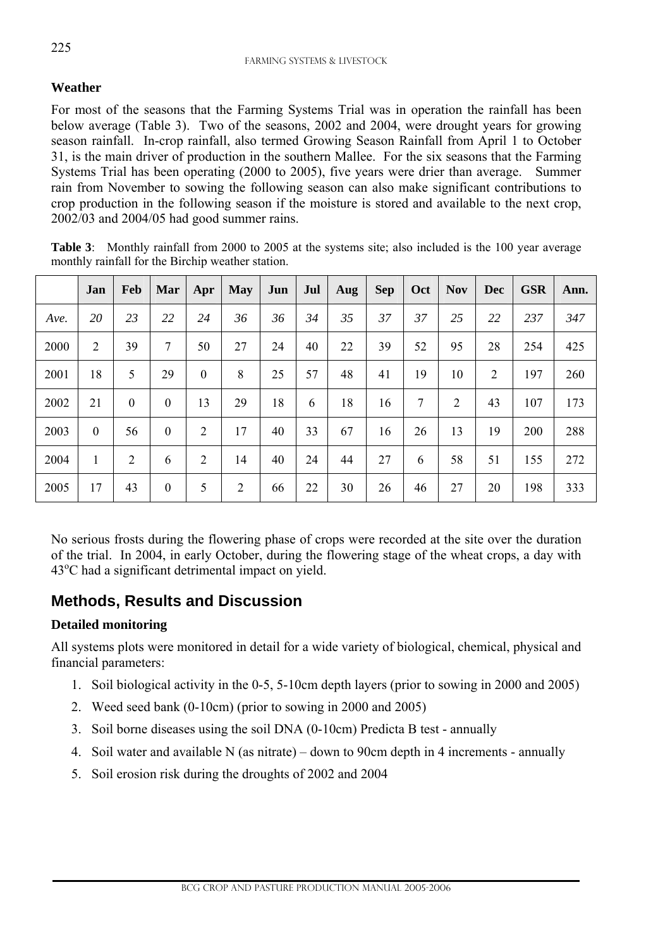#### **Weather**

For most of the seasons that the Farming Systems Trial was in operation the rainfall has been below average (Table 3). Two of the seasons, 2002 and 2004, were drought years for growing season rainfall. In-crop rainfall, also termed Growing Season Rainfall from April 1 to October 31, is the main driver of production in the southern Mallee. For the six seasons that the Farming Systems Trial has been operating (2000 to 2005), five years were drier than average. Summer rain from November to sowing the following season can also make significant contributions to crop production in the following season if the moisture is stored and available to the next crop, 2002/03 and 2004/05 had good summer rains.

|      | Jan | Feb      | Mar              | Apr              | <b>May</b> | Jun | Jul | Aug | <b>Sep</b> | Oct | <b>Nov</b> | <b>Dec</b> | <b>GSR</b> | Ann. |
|------|-----|----------|------------------|------------------|------------|-----|-----|-----|------------|-----|------------|------------|------------|------|
| Ave. | 20  | 23       | 22               | 24               | 36         | 36  | 34  | 35  | 37         | 37  | 25         | 22         | 237        | 347  |
| 2000 | 2   | 39       | 7                | 50               | 27         | 24  | 40  | 22  | 39         | 52  | 95         | 28         | 254        | 425  |
| 2001 | 18  | 5        | 29               | $\boldsymbol{0}$ | 8          | 25  | 57  | 48  | 41         | 19  | 10         | 2          | 197        | 260  |
| 2002 | 21  | $\theta$ | $\boldsymbol{0}$ | 13               | 29         | 18  | 6   | 18  | 16         | 7   | 2          | 43         | 107        | 173  |
| 2003 | 0   | 56       | $\boldsymbol{0}$ | $\overline{2}$   | 17         | 40  | 33  | 67  | 16         | 26  | 13         | 19         | 200        | 288  |
| 2004 | 1   | 2        | 6                | $\overline{2}$   | 14         | 40  | 24  | 44  | 27         | 6   | 58         | 51         | 155        | 272  |
| 2005 | 17  | 43       | $\boldsymbol{0}$ | 5                | 2          | 66  | 22  | 30  | 26         | 46  | 27         | 20         | 198        | 333  |

**Table 3:** Monthly rainfall from 2000 to 2005 at the systems site; also included is the 100 year average monthly rainfall for the Birchip weather station.

No serious frosts during the flowering phase of crops were recorded at the site over the duration of the trial. In 2004, in early October, during the flowering stage of the wheat crops, a day with 43<sup>o</sup>C had a significant detrimental impact on yield.

## **Methods, Results and Discussion**

#### **Detailed monitoring**

l

All systems plots were monitored in detail for a wide variety of biological, chemical, physical and financial parameters:

- 1. Soil biological activity in the 0-5, 5-10cm depth layers (prior to sowing in 2000 and 2005)
- 2. Weed seed bank (0-10cm) (prior to sowing in 2000 and 2005)
- 3. Soil borne diseases using the soil DNA (0-10cm) Predicta B test annually
- 4. Soil water and available N (as nitrate) down to 90cm depth in 4 increments annually
- 5. Soil erosion risk during the droughts of 2002 and 2004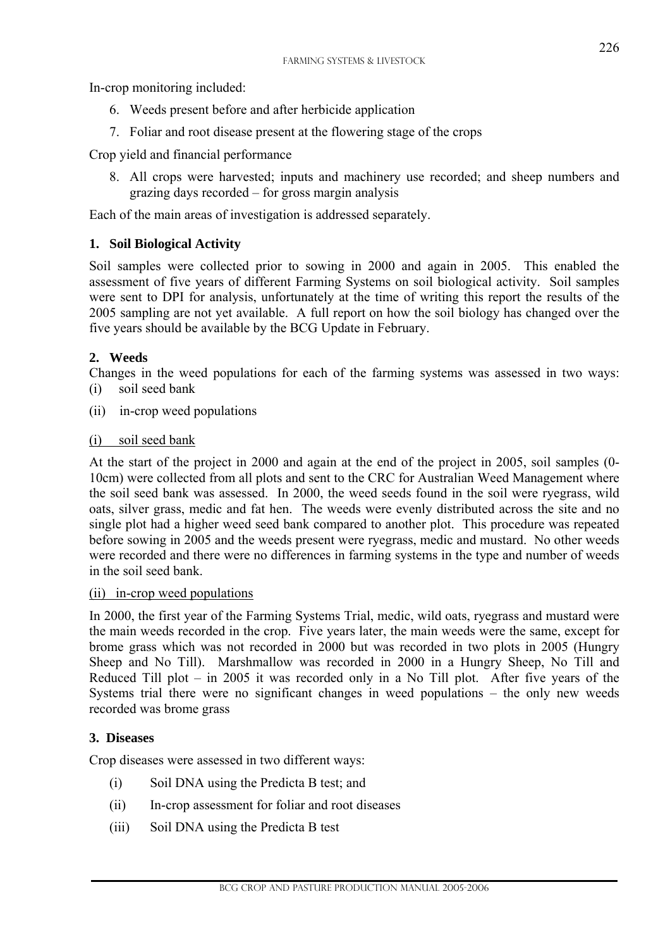In-crop monitoring included:

- 6. Weeds present before and after herbicide application
- 7. Foliar and root disease present at the flowering stage of the crops

Crop yield and financial performance

8. All crops were harvested; inputs and machinery use recorded; and sheep numbers and grazing days recorded – for gross margin analysis

Each of the main areas of investigation is addressed separately.

#### **1. Soil Biological Activity**

Soil samples were collected prior to sowing in 2000 and again in 2005. This enabled the assessment of five years of different Farming Systems on soil biological activity. Soil samples were sent to DPI for analysis, unfortunately at the time of writing this report the results of the 2005 sampling are not yet available. A full report on how the soil biology has changed over the five years should be available by the BCG Update in February.

#### **2. Weeds**

Changes in the weed populations for each of the farming systems was assessed in two ways: (i) soil seed bank

(ii) in-crop weed populations

#### (i) soil seed bank

At the start of the project in 2000 and again at the end of the project in 2005, soil samples (0- 10cm) were collected from all plots and sent to the CRC for Australian Weed Management where the soil seed bank was assessed. In 2000, the weed seeds found in the soil were ryegrass, wild oats, silver grass, medic and fat hen. The weeds were evenly distributed across the site and no single plot had a higher weed seed bank compared to another plot. This procedure was repeated before sowing in 2005 and the weeds present were ryegrass, medic and mustard. No other weeds were recorded and there were no differences in farming systems in the type and number of weeds in the soil seed bank.

#### (ii) in-crop weed populations

In 2000, the first year of the Farming Systems Trial, medic, wild oats, ryegrass and mustard were the main weeds recorded in the crop. Five years later, the main weeds were the same, except for brome grass which was not recorded in 2000 but was recorded in two plots in 2005 (Hungry Sheep and No Till). Marshmallow was recorded in 2000 in a Hungry Sheep, No Till and Reduced Till plot – in 2005 it was recorded only in a No Till plot. After five years of the Systems trial there were no significant changes in weed populations – the only new weeds recorded was brome grass

#### **3. Diseases**

l

Crop diseases were assessed in two different ways:

- (i) Soil DNA using the Predicta B test; and
- (ii) In-crop assessment for foliar and root diseases
- (iii) Soil DNA using the Predicta B test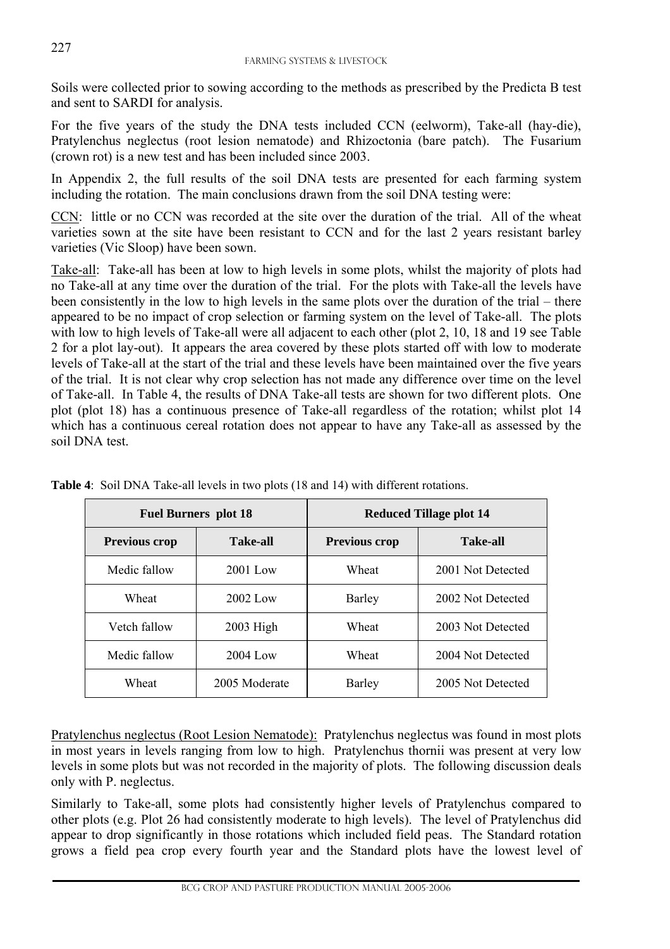Soils were collected prior to sowing according to the methods as prescribed by the Predicta B test and sent to SARDI for analysis.

For the five years of the study the DNA tests included CCN (eelworm), Take-all (hay-die), Pratylenchus neglectus (root lesion nematode) and Rhizoctonia (bare patch). The Fusarium (crown rot) is a new test and has been included since 2003.

In Appendix 2, the full results of the soil DNA tests are presented for each farming system including the rotation. The main conclusions drawn from the soil DNA testing were:

CCN: little or no CCN was recorded at the site over the duration of the trial. All of the wheat varieties sown at the site have been resistant to CCN and for the last 2 years resistant barley varieties (Vic Sloop) have been sown.

Take-all: Take-all has been at low to high levels in some plots, whilst the majority of plots had no Take-all at any time over the duration of the trial. For the plots with Take-all the levels have been consistently in the low to high levels in the same plots over the duration of the trial – there appeared to be no impact of crop selection or farming system on the level of Take-all. The plots with low to high levels of Take-all were all adjacent to each other (plot 2, 10, 18 and 19 see Table 2 for a plot lay-out). It appears the area covered by these plots started off with low to moderate levels of Take-all at the start of the trial and these levels have been maintained over the five years of the trial. It is not clear why crop selection has not made any difference over time on the level of Take-all. In Table 4, the results of DNA Take-all tests are shown for two different plots. One plot (plot 18) has a continuous presence of Take-all regardless of the rotation; whilst plot 14 which has a continuous cereal rotation does not appear to have any Take-all as assessed by the soil DNA test.

|                      | <b>Fuel Burners plot 18</b> | <b>Reduced Tillage plot 14</b> |                   |  |  |  |  |  |
|----------------------|-----------------------------|--------------------------------|-------------------|--|--|--|--|--|
| <b>Previous crop</b> | <b>Take-all</b>             | <b>Previous crop</b>           | <b>Take-all</b>   |  |  |  |  |  |
| Medic fallow         | $2001$ Low                  | Wheat                          | 2001 Not Detected |  |  |  |  |  |
| Wheat                | $2002$ Low                  | Barley                         | 2002 Not Detected |  |  |  |  |  |
| Vetch fallow         | $2003$ High                 | Wheat                          | 2003 Not Detected |  |  |  |  |  |
| Medic fallow         | $2004$ Low                  | Wheat                          | 2004 Not Detected |  |  |  |  |  |
| Wheat                | 2005 Moderate               | Barley                         | 2005 Not Detected |  |  |  |  |  |

**Table 4**: Soil DNA Take-all levels in two plots (18 and 14) with different rotations.

Pratylenchus neglectus (Root Lesion Nematode): Pratylenchus neglectus was found in most plots in most years in levels ranging from low to high. Pratylenchus thornii was present at very low levels in some plots but was not recorded in the majority of plots. The following discussion deals only with P. neglectus.

Similarly to Take-all, some plots had consistently higher levels of Pratylenchus compared to other plots (e.g. Plot 26 had consistently moderate to high levels). The level of Pratylenchus did appear to drop significantly in those rotations which included field peas. The Standard rotation grows a field pea crop every fourth year and the Standard plots have the lowest level of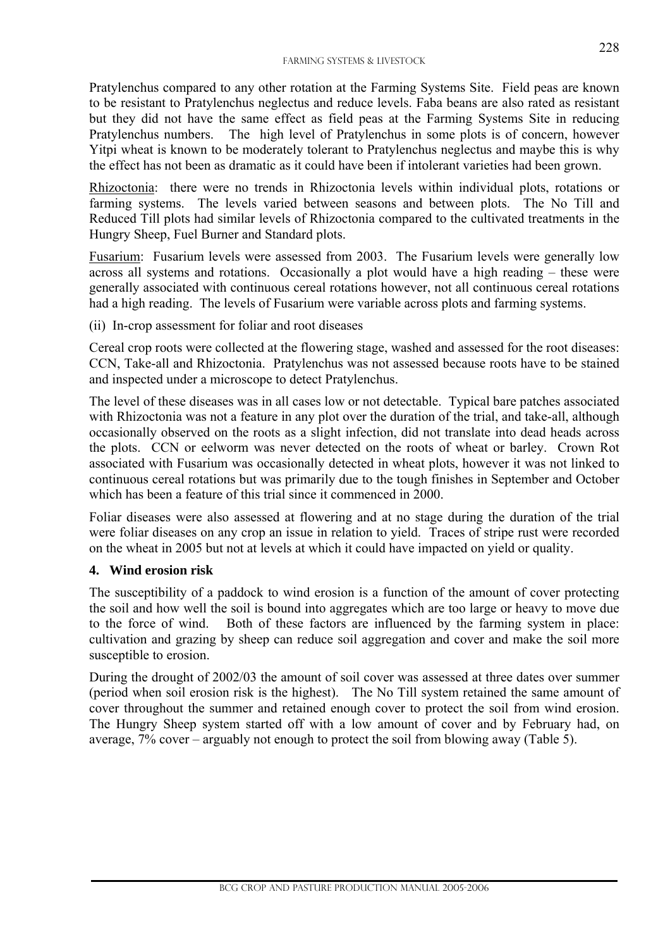Pratylenchus compared to any other rotation at the Farming Systems Site. Field peas are known to be resistant to Pratylenchus neglectus and reduce levels. Faba beans are also rated as resistant but they did not have the same effect as field peas at the Farming Systems Site in reducing Pratylenchus numbers. The high level of Pratylenchus in some plots is of concern, however Yitpi wheat is known to be moderately tolerant to Pratylenchus neglectus and maybe this is why the effect has not been as dramatic as it could have been if intolerant varieties had been grown.

Rhizoctonia: there were no trends in Rhizoctonia levels within individual plots, rotations or farming systems. The levels varied between seasons and between plots. The No Till and Reduced Till plots had similar levels of Rhizoctonia compared to the cultivated treatments in the Hungry Sheep, Fuel Burner and Standard plots.

Fusarium: Fusarium levels were assessed from 2003. The Fusarium levels were generally low across all systems and rotations. Occasionally a plot would have a high reading – these were generally associated with continuous cereal rotations however, not all continuous cereal rotations had a high reading. The levels of Fusarium were variable across plots and farming systems.

(ii) In-crop assessment for foliar and root diseases

Cereal crop roots were collected at the flowering stage, washed and assessed for the root diseases: CCN, Take-all and Rhizoctonia. Pratylenchus was not assessed because roots have to be stained and inspected under a microscope to detect Pratylenchus.

The level of these diseases was in all cases low or not detectable. Typical bare patches associated with Rhizoctonia was not a feature in any plot over the duration of the trial, and take-all, although occasionally observed on the roots as a slight infection, did not translate into dead heads across the plots. CCN or eelworm was never detected on the roots of wheat or barley. Crown Rot associated with Fusarium was occasionally detected in wheat plots, however it was not linked to continuous cereal rotations but was primarily due to the tough finishes in September and October which has been a feature of this trial since it commenced in 2000.

Foliar diseases were also assessed at flowering and at no stage during the duration of the trial were foliar diseases on any crop an issue in relation to yield. Traces of stripe rust were recorded on the wheat in 2005 but not at levels at which it could have impacted on yield or quality.

#### **4. Wind erosion risk**

l

The susceptibility of a paddock to wind erosion is a function of the amount of cover protecting the soil and how well the soil is bound into aggregates which are too large or heavy to move due to the force of wind. Both of these factors are influenced by the farming system in place: cultivation and grazing by sheep can reduce soil aggregation and cover and make the soil more susceptible to erosion.

During the drought of 2002/03 the amount of soil cover was assessed at three dates over summer (period when soil erosion risk is the highest). The No Till system retained the same amount of cover throughout the summer and retained enough cover to protect the soil from wind erosion. The Hungry Sheep system started off with a low amount of cover and by February had, on average, 7% cover – arguably not enough to protect the soil from blowing away (Table 5).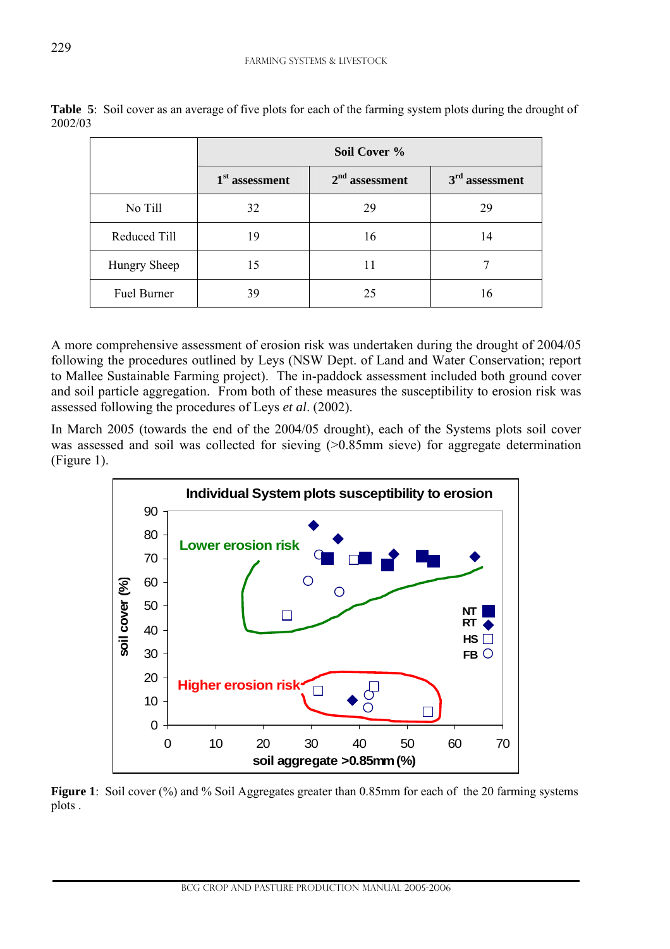|              |                  | Soil Cover %     |                  |
|--------------|------------------|------------------|------------------|
|              | $1st$ assessment | $2nd$ assessment | $3rd$ assessment |
| No Till      | 32               | 29               | 29               |
| Reduced Till | 19               | 16               | 14               |
| Hungry Sheep | 15               | 11               |                  |
| Fuel Burner  | 39               | 25               | 16               |

**Table 5**: Soil cover as an average of five plots for each of the farming system plots during the drought of 2002/03

A more comprehensive assessment of erosion risk was undertaken during the drought of 2004/05 following the procedures outlined by Leys (NSW Dept. of Land and Water Conservation; report to Mallee Sustainable Farming project). The in-paddock assessment included both ground cover and soil particle aggregation. From both of these measures the susceptibility to erosion risk was assessed following the procedures of Leys *et al*. (2002).

In March 2005 (towards the end of the 2004/05 drought), each of the Systems plots soil cover was assessed and soil was collected for sieving (>0.85mm sieve) for aggregate determination (Figure 1).



**Figure 1**: Soil cover (%) and % Soil Aggregates greater than 0.85mm for each of the 20 farming systems plots .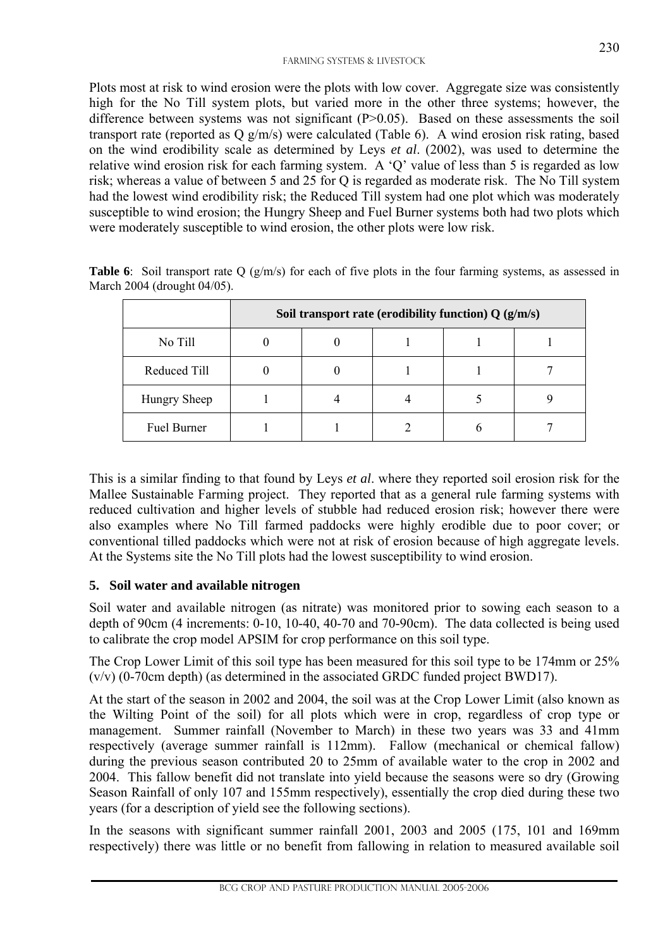Plots most at risk to wind erosion were the plots with low cover. Aggregate size was consistently high for the No Till system plots, but varied more in the other three systems; however, the difference between systems was not significant  $(P>0.05)$ . Based on these assessments the soil transport rate (reported as Q g/m/s) were calculated (Table 6). A wind erosion risk rating, based on the wind erodibility scale as determined by Leys *et al*. (2002), was used to determine the relative wind erosion risk for each farming system. A 'Q' value of less than 5 is regarded as low risk; whereas a value of between 5 and 25 for Q is regarded as moderate risk. The No Till system had the lowest wind erodibility risk; the Reduced Till system had one plot which was moderately susceptible to wind erosion; the Hungry Sheep and Fuel Burner systems both had two plots which were moderately susceptible to wind erosion, the other plots were low risk.

|                    | Soil transport rate (erodibility function) $Q(g/m/s)$ |  |  |  |  |  |  |  |  |  |  |  |  |  |
|--------------------|-------------------------------------------------------|--|--|--|--|--|--|--|--|--|--|--|--|--|
| No Till            |                                                       |  |  |  |  |  |  |  |  |  |  |  |  |  |
| Reduced Till       |                                                       |  |  |  |  |  |  |  |  |  |  |  |  |  |
| Hungry Sheep       |                                                       |  |  |  |  |  |  |  |  |  |  |  |  |  |
| <b>Fuel Burner</b> |                                                       |  |  |  |  |  |  |  |  |  |  |  |  |  |

**Table 6**: Soil transport rate Q  $(g/m/s)$  for each of five plots in the four farming systems, as assessed in March 2004 (drought 04/05).

This is a similar finding to that found by Leys *et al*. where they reported soil erosion risk for the Mallee Sustainable Farming project. They reported that as a general rule farming systems with reduced cultivation and higher levels of stubble had reduced erosion risk; however there were also examples where No Till farmed paddocks were highly erodible due to poor cover; or conventional tilled paddocks which were not at risk of erosion because of high aggregate levels. At the Systems site the No Till plots had the lowest susceptibility to wind erosion.

#### **5. Soil water and available nitrogen**

l

Soil water and available nitrogen (as nitrate) was monitored prior to sowing each season to a depth of 90cm (4 increments: 0-10, 10-40, 40-70 and 70-90cm). The data collected is being used to calibrate the crop model APSIM for crop performance on this soil type.

The Crop Lower Limit of this soil type has been measured for this soil type to be 174mm or 25% (v/v) (0-70cm depth) (as determined in the associated GRDC funded project BWD17).

At the start of the season in 2002 and 2004, the soil was at the Crop Lower Limit (also known as the Wilting Point of the soil) for all plots which were in crop, regardless of crop type or management. Summer rainfall (November to March) in these two years was 33 and 41mm respectively (average summer rainfall is 112mm). Fallow (mechanical or chemical fallow) during the previous season contributed 20 to 25mm of available water to the crop in 2002 and 2004. This fallow benefit did not translate into yield because the seasons were so dry (Growing Season Rainfall of only 107 and 155mm respectively), essentially the crop died during these two years (for a description of yield see the following sections).

In the seasons with significant summer rainfall 2001, 2003 and 2005 (175, 101 and 169mm respectively) there was little or no benefit from fallowing in relation to measured available soil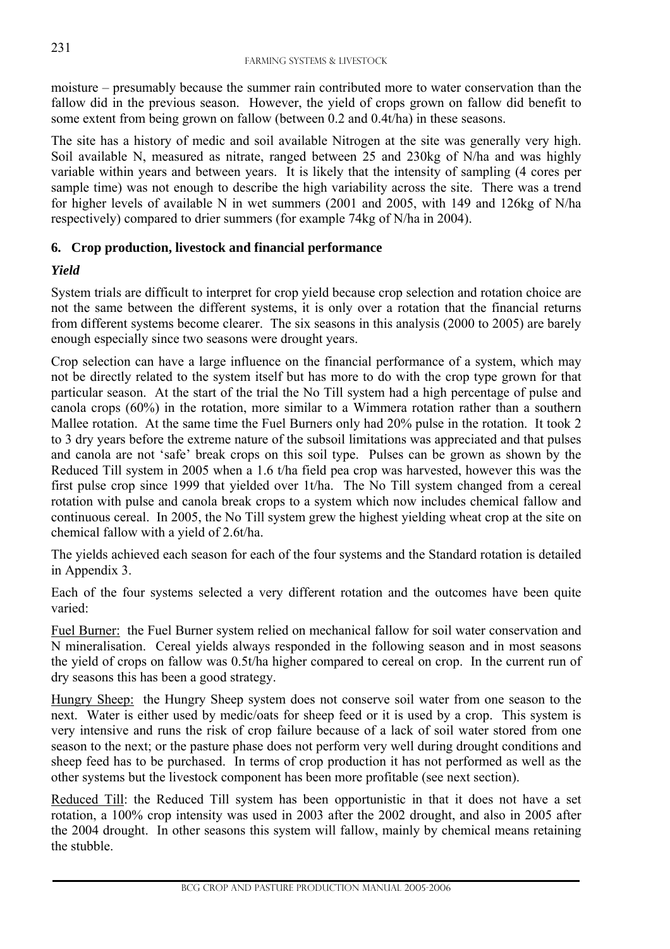moisture – presumably because the summer rain contributed more to water conservation than the fallow did in the previous season. However, the yield of crops grown on fallow did benefit to some extent from being grown on fallow (between 0.2 and 0.4t/ha) in these seasons.

The site has a history of medic and soil available Nitrogen at the site was generally very high. Soil available N, measured as nitrate, ranged between 25 and 230kg of N/ha and was highly variable within years and between years. It is likely that the intensity of sampling (4 cores per sample time) was not enough to describe the high variability across the site. There was a trend for higher levels of available N in wet summers (2001 and 2005, with 149 and 126kg of N/ha respectively) compared to drier summers (for example 74kg of N/ha in 2004).

#### **6. Crop production, livestock and financial performance**

#### *Yield*

l

System trials are difficult to interpret for crop yield because crop selection and rotation choice are not the same between the different systems, it is only over a rotation that the financial returns from different systems become clearer. The six seasons in this analysis (2000 to 2005) are barely enough especially since two seasons were drought years.

Crop selection can have a large influence on the financial performance of a system, which may not be directly related to the system itself but has more to do with the crop type grown for that particular season. At the start of the trial the No Till system had a high percentage of pulse and canola crops (60%) in the rotation, more similar to a Wimmera rotation rather than a southern Mallee rotation. At the same time the Fuel Burners only had 20% pulse in the rotation. It took 2 to 3 dry years before the extreme nature of the subsoil limitations was appreciated and that pulses and canola are not 'safe' break crops on this soil type. Pulses can be grown as shown by the Reduced Till system in 2005 when a 1.6 t/ha field pea crop was harvested, however this was the first pulse crop since 1999 that yielded over 1t/ha. The No Till system changed from a cereal rotation with pulse and canola break crops to a system which now includes chemical fallow and continuous cereal. In 2005, the No Till system grew the highest yielding wheat crop at the site on chemical fallow with a yield of 2.6t/ha.

The yields achieved each season for each of the four systems and the Standard rotation is detailed in Appendix 3.

Each of the four systems selected a very different rotation and the outcomes have been quite varied:

Fuel Burner: the Fuel Burner system relied on mechanical fallow for soil water conservation and N mineralisation. Cereal yields always responded in the following season and in most seasons the yield of crops on fallow was 0.5t/ha higher compared to cereal on crop. In the current run of dry seasons this has been a good strategy.

Hungry Sheep: the Hungry Sheep system does not conserve soil water from one season to the next. Water is either used by medic/oats for sheep feed or it is used by a crop. This system is very intensive and runs the risk of crop failure because of a lack of soil water stored from one season to the next; or the pasture phase does not perform very well during drought conditions and sheep feed has to be purchased. In terms of crop production it has not performed as well as the other systems but the livestock component has been more profitable (see next section).

Reduced Till: the Reduced Till system has been opportunistic in that it does not have a set rotation, a 100% crop intensity was used in 2003 after the 2002 drought, and also in 2005 after the 2004 drought. In other seasons this system will fallow, mainly by chemical means retaining the stubble.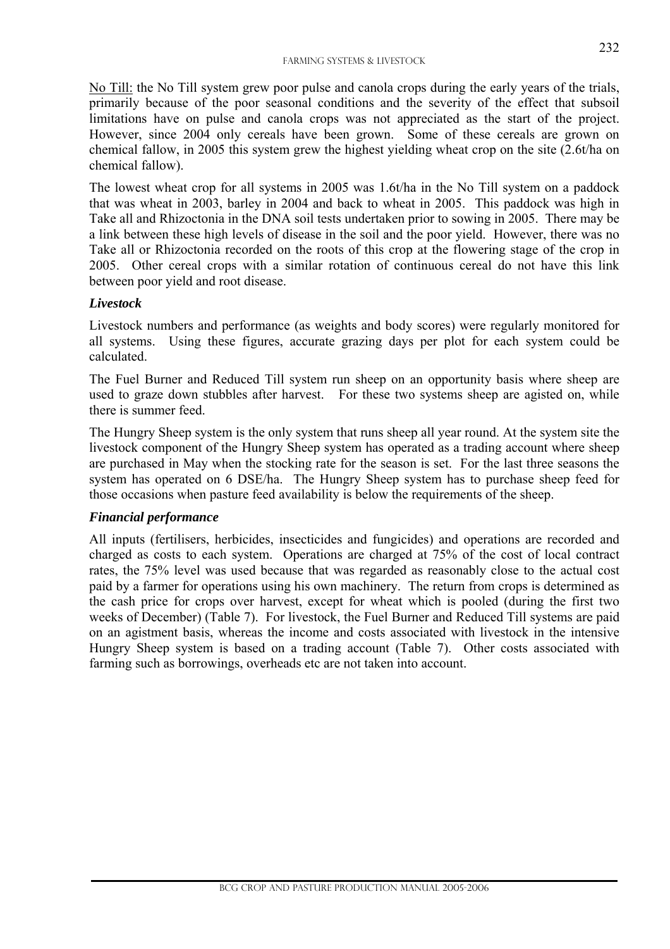No Till: the No Till system grew poor pulse and canola crops during the early years of the trials, primarily because of the poor seasonal conditions and the severity of the effect that subsoil limitations have on pulse and canola crops was not appreciated as the start of the project. However, since 2004 only cereals have been grown. Some of these cereals are grown on chemical fallow, in 2005 this system grew the highest yielding wheat crop on the site (2.6t/ha on chemical fallow).

The lowest wheat crop for all systems in 2005 was 1.6t/ha in the No Till system on a paddock that was wheat in 2003, barley in 2004 and back to wheat in 2005. This paddock was high in Take all and Rhizoctonia in the DNA soil tests undertaken prior to sowing in 2005. There may be a link between these high levels of disease in the soil and the poor yield. However, there was no Take all or Rhizoctonia recorded on the roots of this crop at the flowering stage of the crop in 2005. Other cereal crops with a similar rotation of continuous cereal do not have this link between poor yield and root disease.

#### *Livestock*

Livestock numbers and performance (as weights and body scores) were regularly monitored for all systems. Using these figures, accurate grazing days per plot for each system could be calculated.

The Fuel Burner and Reduced Till system run sheep on an opportunity basis where sheep are used to graze down stubbles after harvest. For these two systems sheep are agisted on, while there is summer feed.

The Hungry Sheep system is the only system that runs sheep all year round. At the system site the livestock component of the Hungry Sheep system has operated as a trading account where sheep are purchased in May when the stocking rate for the season is set. For the last three seasons the system has operated on 6 DSE/ha. The Hungry Sheep system has to purchase sheep feed for those occasions when pasture feed availability is below the requirements of the sheep.

#### *Financial performance*

l

All inputs (fertilisers, herbicides, insecticides and fungicides) and operations are recorded and charged as costs to each system. Operations are charged at 75% of the cost of local contract rates, the 75% level was used because that was regarded as reasonably close to the actual cost paid by a farmer for operations using his own machinery. The return from crops is determined as the cash price for crops over harvest, except for wheat which is pooled (during the first two weeks of December) (Table 7). For livestock, the Fuel Burner and Reduced Till systems are paid on an agistment basis, whereas the income and costs associated with livestock in the intensive Hungry Sheep system is based on a trading account (Table 7). Other costs associated with farming such as borrowings, overheads etc are not taken into account.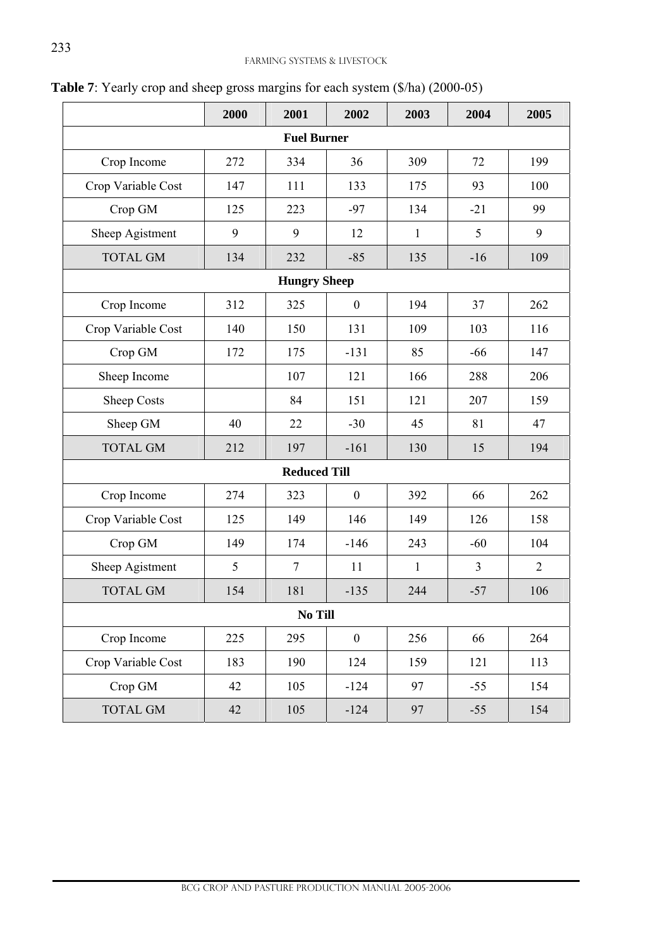|                     | 2000 | 2001                | 2002             | 2003         | 2004  | 2005           |  |  |  |  |  |  |  |
|---------------------|------|---------------------|------------------|--------------|-------|----------------|--|--|--|--|--|--|--|
|                     |      | <b>Fuel Burner</b>  |                  |              |       |                |  |  |  |  |  |  |  |
| Crop Income         | 272  | 334                 | 36               | 309          | 72    | 199            |  |  |  |  |  |  |  |
| Crop Variable Cost  | 147  | 111                 | 133              | 175          | 93    | 100            |  |  |  |  |  |  |  |
| Crop GM             | 125  | 223                 | $-97$            | 134          | $-21$ | 99             |  |  |  |  |  |  |  |
| Sheep Agistment     | 9    | 9                   | 12               | $\mathbf{1}$ | 5     | 9              |  |  |  |  |  |  |  |
| <b>TOTAL GM</b>     | 134  | 232                 | $-85$            | 135          | $-16$ | 109            |  |  |  |  |  |  |  |
| <b>Hungry Sheep</b> |      |                     |                  |              |       |                |  |  |  |  |  |  |  |
| Crop Income         | 312  | 325                 | $\boldsymbol{0}$ | 194          | 37    | 262            |  |  |  |  |  |  |  |
| Crop Variable Cost  | 140  | 150                 | 131              | 109          | 103   | 116            |  |  |  |  |  |  |  |
| Crop GM             | 172  | 175                 | $-131$           | 85           | $-66$ | 147            |  |  |  |  |  |  |  |
| Sheep Income        |      | 107                 | 121              | 166          | 288   | 206            |  |  |  |  |  |  |  |
| Sheep Costs         |      | 84                  | 151              | 121          | 207   | 159            |  |  |  |  |  |  |  |
| Sheep GM            | 40   | 22                  | $-30$            | 45           | 81    | 47             |  |  |  |  |  |  |  |
| <b>TOTAL GM</b>     | 212  | 197                 | $-161$           | 130          | 15    | 194            |  |  |  |  |  |  |  |
|                     |      | <b>Reduced Till</b> |                  |              |       |                |  |  |  |  |  |  |  |
| Crop Income         | 274  | 323                 | $\boldsymbol{0}$ | 392          | 66    | 262            |  |  |  |  |  |  |  |
| Crop Variable Cost  | 125  | 149                 | 146              | 149          | 126   | 158            |  |  |  |  |  |  |  |
| Crop GM             | 149  | 174                 | $-146$           | 243          | $-60$ | 104            |  |  |  |  |  |  |  |
| Sheep Agistment     | 5    | $\overline{7}$      | 11               | $\mathbf{1}$ | 3     | $\overline{2}$ |  |  |  |  |  |  |  |
| <b>TOTAL GM</b>     | 154  | 181                 | $-135$           | 244          | $-57$ | 106            |  |  |  |  |  |  |  |
|                     |      | No Till             |                  |              |       |                |  |  |  |  |  |  |  |
| Crop Income         | 225  | 295                 | $\boldsymbol{0}$ | 256          | 66    | 264            |  |  |  |  |  |  |  |
| Crop Variable Cost  | 183  | 190                 | 124              | 159          | 121   | 113            |  |  |  |  |  |  |  |
| Crop GM             | 42   | 105                 | $-124$           | 97           | $-55$ | 154            |  |  |  |  |  |  |  |
| TOTAL GM            | 42   | 105                 | $-124$           | 97           | $-55$ | 154            |  |  |  |  |  |  |  |

**Table 7**: Yearly crop and sheep gross margins for each system (\$/ha) (2000-05)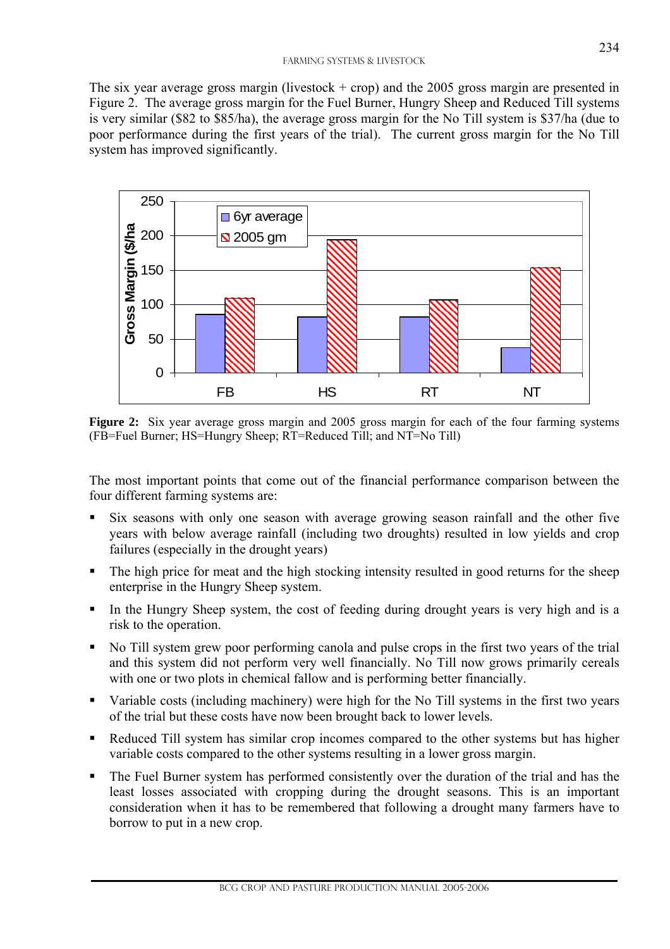The six year average gross margin (livestock  $+$  crop) and the 2005 gross margin are presented in Figure 2. The average gross margin for the Fuel Burner, Hungry Sheep and Reduced Till systems is very similar (\$82 to \$85/ha), the average gross margin for the No Till system is \$37/ha (due to poor performance during the first years of the trial). The current gross margin for the No Till system has improved significantly.



**Figure 2:** Six year average gross margin and 2005 gross margin for each of the four farming systems (FB=Fuel Burner; HS=Hungry Sheep; RT=Reduced Till; and NT=No Till)

The most important points that come out of the financial performance comparison between the four different farming systems are:

- Six seasons with only one season with average growing season rainfall and the other five years with below average rainfall (including two droughts) resulted in low yields and crop failures (especially in the drought years)
- The high price for meat and the high stocking intensity resulted in good returns for the sheep enterprise in the Hungry Sheep system.
- In the Hungry Sheep system, the cost of feeding during drought years is very high and is a risk to the operation.
- No Till system grew poor performing canola and pulse crops in the first two years of the trial and this system did not perform very well financially. No Till now grows primarily cereals with one or two plots in chemical fallow and is performing better financially.
- Variable costs (including machinery) were high for the No Till systems in the first two years of the trial but these costs have now been brought back to lower levels.
- Reduced Till system has similar crop incomes compared to the other systems but has higher variable costs compared to the other systems resulting in a lower gross margin.
- The Fuel Burner system has performed consistently over the duration of the trial and has the least losses associated with cropping during the drought seasons. This is an important consideration when it has to be remembered that following a drought many farmers have to borrow to put in a new crop.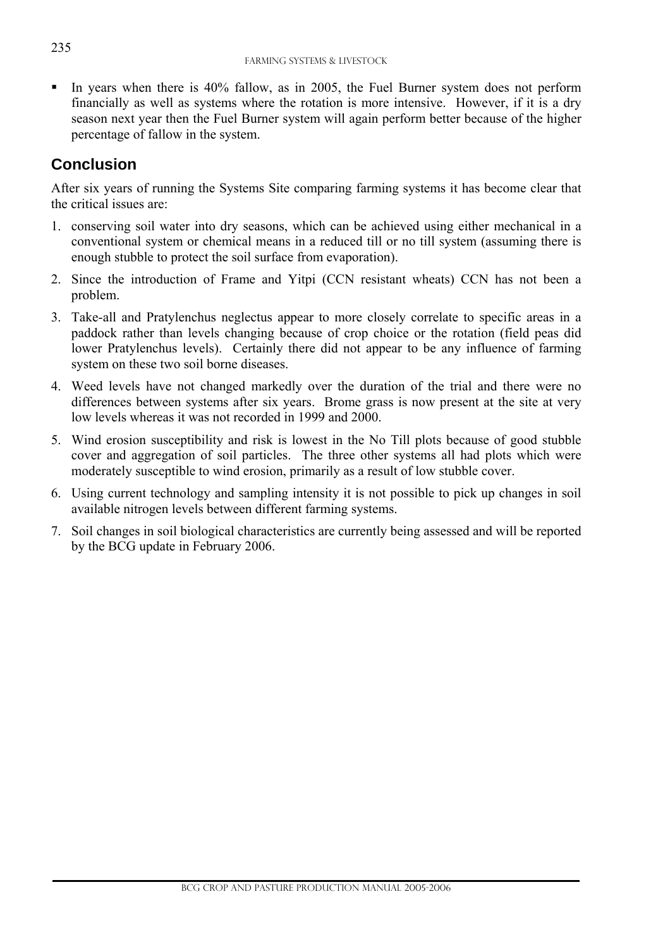In years when there is 40% fallow, as in 2005, the Fuel Burner system does not perform financially as well as systems where the rotation is more intensive. However, if it is a dry season next year then the Fuel Burner system will again perform better because of the higher percentage of fallow in the system.

# **Conclusion**

After six years of running the Systems Site comparing farming systems it has become clear that the critical issues are:

- 1. conserving soil water into dry seasons, which can be achieved using either mechanical in a conventional system or chemical means in a reduced till or no till system (assuming there is enough stubble to protect the soil surface from evaporation).
- 2. Since the introduction of Frame and Yitpi (CCN resistant wheats) CCN has not been a problem.
- 3. Take-all and Pratylenchus neglectus appear to more closely correlate to specific areas in a paddock rather than levels changing because of crop choice or the rotation (field peas did lower Pratylenchus levels). Certainly there did not appear to be any influence of farming system on these two soil borne diseases.
- 4. Weed levels have not changed markedly over the duration of the trial and there were no differences between systems after six years. Brome grass is now present at the site at very low levels whereas it was not recorded in 1999 and 2000.
- 5. Wind erosion susceptibility and risk is lowest in the No Till plots because of good stubble cover and aggregation of soil particles. The three other systems all had plots which were moderately susceptible to wind erosion, primarily as a result of low stubble cover.
- 6. Using current technology and sampling intensity it is not possible to pick up changes in soil available nitrogen levels between different farming systems.
- 7. Soil changes in soil biological characteristics are currently being assessed and will be reported by the BCG update in February 2006.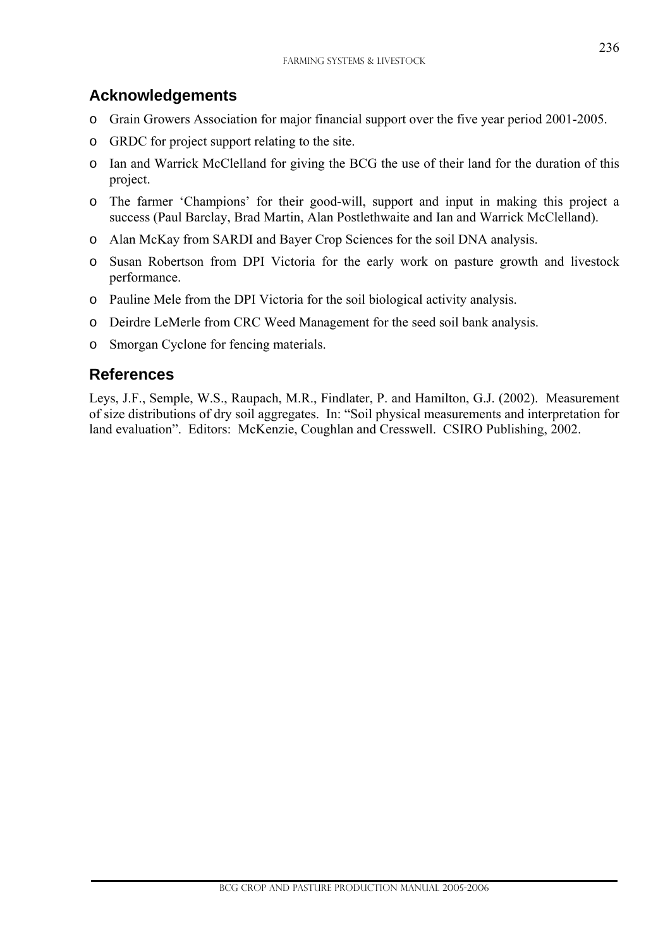## **Acknowledgements**

- o Grain Growers Association for major financial support over the five year period 2001-2005.
- o GRDC for project support relating to the site.
- o Ian and Warrick McClelland for giving the BCG the use of their land for the duration of this project.
- o The farmer 'Champions' for their good-will, support and input in making this project a success (Paul Barclay, Brad Martin, Alan Postlethwaite and Ian and Warrick McClelland).
- o Alan McKay from SARDI and Bayer Crop Sciences for the soil DNA analysis.
- o Susan Robertson from DPI Victoria for the early work on pasture growth and livestock performance.
- o Pauline Mele from the DPI Victoria for the soil biological activity analysis.
- o Deirdre LeMerle from CRC Weed Management for the seed soil bank analysis.
- o Smorgan Cyclone for fencing materials.

## **References**

l

Leys, J.F., Semple, W.S., Raupach, M.R., Findlater, P. and Hamilton, G.J. (2002). Measurement of size distributions of dry soil aggregates. In: "Soil physical measurements and interpretation for land evaluation". Editors: McKenzie, Coughlan and Cresswell. CSIRO Publishing, 2002.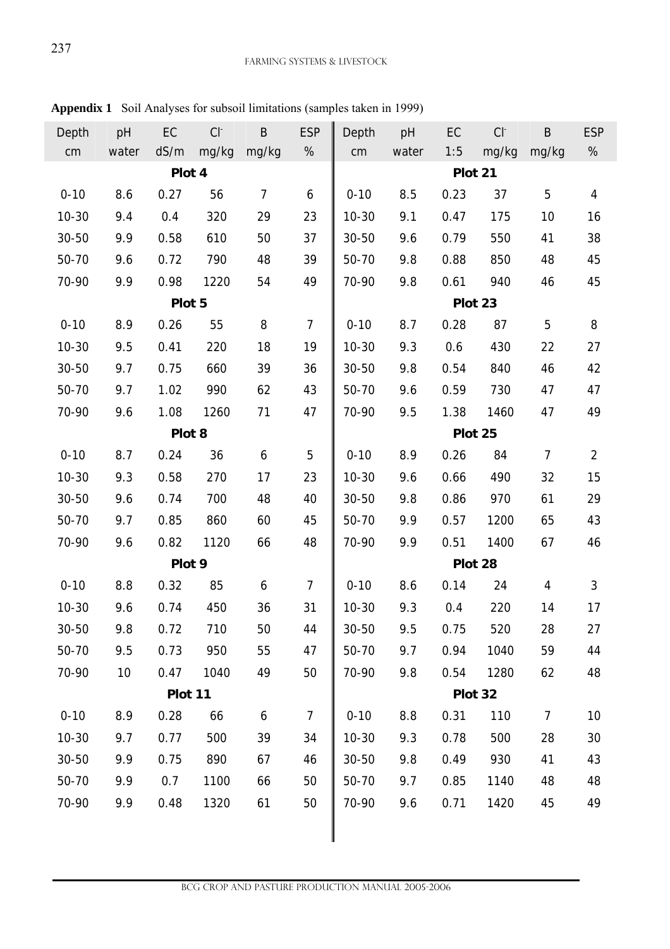| <b>ESP</b>     |
|----------------|
| $\%$           |
|                |
| $\overline{4}$ |
| 16             |
| 38             |
| 45             |
| 45             |
|                |
| 8              |
| 27             |
| 42             |
| 47             |
| 49             |
|                |
| $\overline{2}$ |
| 15             |
| 29             |
| 43             |
| 46             |
|                |
| 3              |
| 17             |
| 27             |
| 44             |
| 48             |
|                |
| 10             |
| 30             |
| 43             |
| 48             |
| 49             |
|                |
|                |

**Appendix 1** Soil Analyses for subsoil limitations (samples taken in 1999)

 $\overline{a}$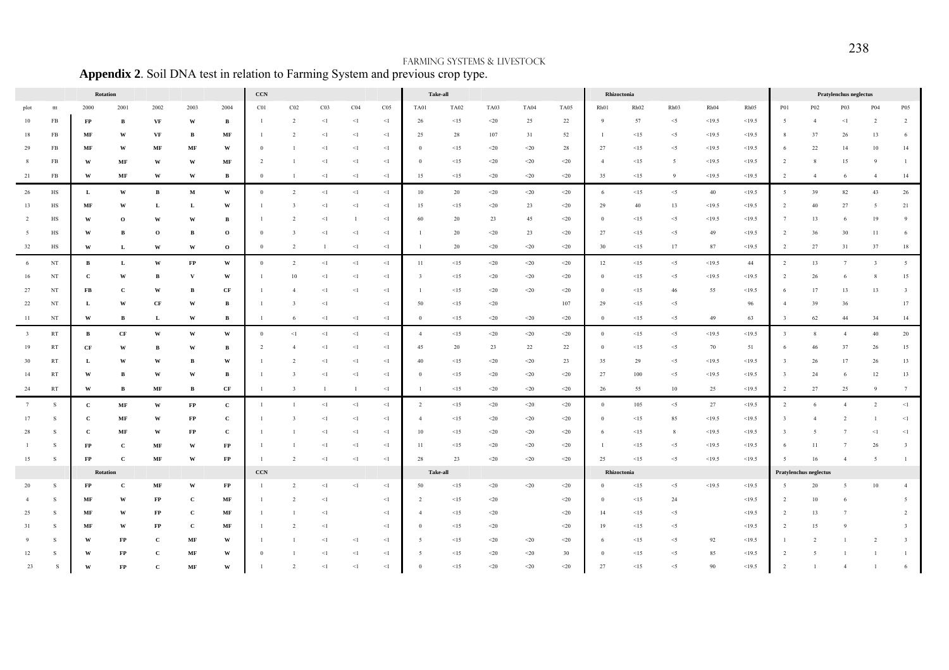|                         |                         | Rotation      |                         |               |                                |                         | $_{\rm CCN}$                |                         |                 |              |                 |                         | Take-all    |              |             |             | Rhizoctonia    |         |          |        | Pratylenchus neglectus |                         |                        |                |                |                         |
|-------------------------|-------------------------|---------------|-------------------------|---------------|--------------------------------|-------------------------|-----------------------------|-------------------------|-----------------|--------------|-----------------|-------------------------|-------------|--------------|-------------|-------------|----------------|---------|----------|--------|------------------------|-------------------------|------------------------|----------------|----------------|-------------------------|
| plot                    | ttt                     | 2000          | 2001                    | 2002          | 2003                           | 2004                    | C01                         | $_{\rm C02}$            | CO <sub>3</sub> | ${\rm C}04$  | CO <sub>5</sub> | TA01                    | <b>TA02</b> | TA03         | <b>TA04</b> | TA05        | Rh01           | Rh02    | Rh03     | Rh04   | Rh05                   | P01                     | P02                    | P03            | P04            | <b>P05</b>              |
| 10                      | ${\rm FB}$              | FP            | В                       | VF            | W                              | в                       | $\mathbf{1}$                | 2                       | $\leq$ 1        | $\leq$ 1     | $<\!1$          | 26                      | <15         | $<$ 20 $\,$  | 25          | 22          | - 9            | 57      | $<$ 5    | <19.5  | <19.5                  | -5                      | $\overline{4}$         | $<$ 1          |                |                         |
| 18                      | FB                      | MF            | W                       | VF            | $\, {\bf B}$                   | MF                      | $\mathbf{1}$                | $\overline{2}$          | $\leq$ 1        | $<1$         | $<\!1$          | 25                      | 28          | 107          | 31          | 52          | $\overline{1}$ | <15     | $<\!\!5$ | <19.5  | <19.5                  | 8                       | 37                     | 26             | 13             | 6                       |
| 29                      | FB                      | MF            | $\mathbf{W}$            | MF            | MF                             | $\ensuremath{\text{W}}$ | $\boldsymbol{0}$            |                         | $<$ l           | $<$ 1        | $<\!1$          | $\mathbf{0}$            | $<15$       | $<$ 20 $\,$  | $<$ 20 $\,$ | 28          | 27             | <15     | $<$ 5    | <19.5  | <19.5                  | -6                      | $22\,$                 | 14             | 10             | 14                      |
| 8                       | FB                      | W             | MF                      | W             | W                              | MF                      | $\overline{2}$              |                         | $\leq$ 1        | $<1$         | $\leq$          | $\bf{0}$                | $<15$       | $<$ 20 $\,$  | $< \!\! 20$ | $<$ 20 $\,$ | $\overline{4}$ | <15     | 5        | <19.5  | <19.5                  | $\overline{2}$          | 8                      | 15             |                |                         |
| 21                      | FB                      | W             | MF                      | W             | W                              | в                       | $\mathbf{0}$                | -1                      | $\leq$ 1        | $\leq$ 1     | $<1$            | 15                      | $<15$       | $<$ 20 $\,$  | $<\!\!20$   | $20$        | 35             | $<15$   | 9        | <19.5  | <19.5                  | $\overline{2}$          | $\overline{4}$         | -6             | $\overline{4}$ | 14                      |
| 26                      | $_{\rm HS}$             | $\bf L$       | $\ensuremath{\text{W}}$ | $\, {\bf B}$  | $\mathbf M$                    | $\ensuremath{\text{W}}$ | $\boldsymbol{0}$            | $\overline{2}$          | $<$ $\!1$       | $<$ 1        | $<\!1$          | $10\,$                  | $20\,$      | $<$ 20 $\,$  | $<\!\!20$   | $<\!\!20$   | 6              | $<15\,$ | $<\!\!5$ | $40\,$ | <19.5                  | 5                       | $39\,$                 | $82\,$         | 43             | 26                      |
| 13                      | HS                      | MF            | W                       | L             | L                              | W                       |                             | $\overline{\mathbf{3}}$ | $\leq$ 1        | $<1$         | $<\!1$          | 15                      | <15         | $<$ 20 $\,$  | 23          | $<$ 20 $\,$ | 29             | 40      | 13       | <19.5  | <19.5                  | 2                       | 40                     | 27             | - 5            | 21                      |
| 2                       | $_{\rm HS}$             | W             | $\mathbf 0$             | W             | W                              | B                       | -1                          | $\overline{2}$          | $\leq$ 1        | $\mathbf{1}$ | $<\!1$          | 60                      | 20          | 23           | 45          | $<$ 20 $\,$ | $\overline{0}$ | $<15$   | $<\!\!5$ | <19.5  | <19.5                  | 7                       | 13                     | -6             | 19             | 9                       |
| - 5                     | HS                      | W             | $\, {\bf B}$            | $\mathbf 0$   | B                              | $\mathbf{o}$            | $\mathbf{0}$                | 3                       | $<$ l           | $<1$         | $<1$            | -1                      | 20          | $<$ 20 $\,$  | 23          | $20$        | 27             | $<15$   | $<\!\!5$ | 49     | <19.5                  | 2                       | 36                     | 30             | 11             | 6                       |
| 32                      | HS                      | W             | L                       | W             | W                              | $\mathbf{o}$            | $\,0\,$                     | $\overline{2}$          | $\mathbf{1}$    | $<1\,$       | $<\!1$          | $\mathbf{1}$            | 20          | $< \! \! 20$ | $<$ 20 $\,$ | $<\!\!20$   | 30             | $<15$   | 17       | 87     | <19.5                  | $\overline{2}$          | $27\,$                 | 31             | 37             | $18\,$                  |
| 6                       | $_{\rm NT}$             | $\, {\bf B}$  | $\mathbf L$             | W             | $\mathbf{FP}$                  | $\mathbf{W}$            | $\mathbf{0}$                | $\overline{2}$          | $<$ l           | $<\!1$       | $<\!1$          | 11                      | $<15$       | $<$ 20 $\,$  | $<\!\!20$   | $<\!\!20$   | 12             | $<15$   | $<$ 5    | <19.5  | 44                     | 2                       | 13                     | 7              | $\overline{3}$ | $5 -$                   |
| 16                      | $_{\rm NT}$             | $\mathbf c$   | $\mathbf{W}$            | В             | $\mathbf{V}$                   | $\mathbf{W}$            |                             | 10                      | $\leq$ 1        | $<1$         | $<\!1$          | $\overline{\mathbf{3}}$ | $<15$       | $<$ 20 $\,$  | $<\!\!20$   | $< \!\! 20$ | $\overline{0}$ | $<15$   | $<\!\!5$ | <19.5  | <19.5                  | $\overline{2}$          | 26                     |                |                | $15\,$                  |
| 27                      | $_{\rm NT}$             | ${\bf FB}$    | $\mathbf{C}$            | W             | B                              | $\bf CF$                | 1                           | $\overline{4}$          | $\leq$ 1        | $<\!1$       | $<\!1$          |                         | $<15$       | $<$ 20 $\,$  | $<\!\!20$   | $20$        | $\overline{0}$ | $<15$   | $46\,$   | 55     | <19.5                  | -6                      | 17                     | 13             | 13             | $\overline{\mathbf{3}}$ |
| 22                      | $_{\rm NT}$             | L             | $\ensuremath{\text{W}}$ | $\bf CF$      | $\mathbf{W}$                   | $\, {\bf B}$            | $\mathbf{1}$                | $\overline{\mathbf{3}}$ | $<\!1$          |              | $<\!1$          | 50                      | $<15$       | $< \! \! 20$ |             | 107         | 29             | $<15$   | $<\!\!5$ |        | 96                     |                         | 39                     | $36\,$         |                | $17\,$                  |
| 11                      | $_{\rm NT}$             | W             | $\, {\bf B}$            | L             | $\ensuremath{\text{w}}\xspace$ | B                       | 1                           | 6                       | $\leq$ 1        | $\leq$ 1     | $<\!1$          | $\mathbf{0}$            | <15         | $<$ 20 $\,$  | $<$ 20 $\,$ | $<$ 20      | $\bf{0}$       | <15     | $<$ 5    | 49     | 63                     | $\overline{\mathbf{3}}$ | 62                     | 44             | 34             | 14                      |
| $\overline{\mathbf{3}}$ | $\mathop{\rm RT}$       | $\, {\bf B}$  | $\bf CF$                | W             | $\ensuremath{\textbf{w}}$      | $\mathbf{W}$            | $\mathbf{0}$                | $<\!1$                  | $<\!1$          | $<\!1$       | $<\!1$          | $\overline{4}$          | $<15$       | $< \! \! 20$ | $<\!\!20$   | $<\!\!20$   | $\overline{0}$ | $<15\,$ | $<\!\!5$ | <19.5  | <19.5                  | 3                       |                        |                | $40\,$         | $20\,$                  |
| 19                      | RT                      | CF            | W                       | в             | W                              | в                       | $\overline{2}$              | $\overline{4}$          | $\leq$ 1        | $<1$         | $<1$            | 45                      | 20          | 23           | 22          | 22          | $\Omega$       | <15     | $<$ 5    | 70     | 51                     |                         | 46                     | 37             | 26             | $15\,$                  |
| 30                      | $\mathbf{RT}$           | L             | $\ensuremath{\text{W}}$ | W             | $\, {\bf B}$                   | $\mathbf{W}$            |                             | $\overline{2}$          | $\leq$ 1        | $<\!1$       | $<\!1$          | $40\,$                  | $<15$       | $<$ 20 $\,$  | $<\!\!20$   | 23          | 35             | 29      | $<\!\!5$ | <19.5  | <19.5                  | $\overline{\mathbf{3}}$ | 26                     | 17             | 26             | $13\,$                  |
| 14                      | <b>RT</b>               | W             | $\, {\bf B}$            | W             | $\mathbf{W}$                   | B                       | 1                           | $\overline{\mathbf{3}}$ | $\leq$ 1        | $<1$         | $<1$            | $\mathbf{0}$            | $<15$       | $<$ 20 $\,$  | $< \!\! 20$ | $20$        | 27             | $100\,$ | $<\!\!5$ | <19.5  | <19.5                  | $\overline{\mathbf{3}}$ | 24                     | -6             | $12\,$         | $13\,$                  |
| 24                      | $\mathbf{RT}$           | W             | $\, {\bf B}$            | $\bf MF$      | $\, {\bf B}$                   | $\bf CF$                | $\mathbf{1}$                | $\overline{\mathbf{3}}$ | -1              | $\mathbf{1}$ | $<\!1$          | $\mathbf{1}$            | $<15$       | $<$ 20 $\,$  | $<\!\!20$   | $<\!\!20$   | $26\,$         | 55      | $10\,$   | 25     | <19.5                  | $\overline{2}$          | $27\,$                 | $25\,$         | 9              | $7\phantom{.0}$         |
| $7\phantom{.0}$         | S                       | $\mathbf{C}$  | $\bf{MF}$               | W             | $\mathbf{FP}$                  | $\mathbf{C}$            | $\mathbf{1}$                |                         | $<$ l           | $<\!1$       | $<\!1$          | $\overline{2}$          | $<15$       | $<$ 20 $\,$  | $<\!\!20$   | $<$ 20 $\,$ | $\overline{0}$ | 105     | $<$ 5    | 27     | <19.5                  | 2                       | 6                      |                | 2              | $<\!1$                  |
| 17                      | S                       | $\mathbf c$   | MF                      | W             | $\rm FP$                       | $\mathbf{C}$            |                             | 3                       | $<$ l           | $<1$         | $<\!1$          | $\overline{4}$          | $\leq$ 15   | $<$ 20 $\,$  | $<$ 20 $\,$ | $20$        | $\overline{0}$ | <15     | 85       | <19.5  | <19.5                  | $\overline{\mathbf{3}}$ | $\overline{4}$         |                |                | $<\!1$                  |
| 28                      | S                       | $\mathbf c$   | MF                      | W             | FP                             | $\mathbf{c}$            | -1                          |                         | $\leq$ 1        | $<1$         | $<\!1$          | 10                      | $<15$       | $<$ 20 $\,$  | $< \!\! 20$ | $<$ 20 $\,$ | - 6            | <15     | 8        | <19.5  | <19.5                  | $\overline{\mathbf{3}}$ | -5                     |                | $\leq$         | $<1\,$                  |
| -1                      | S                       | $\rm FP$      | $\mathbf{C}$            | MF            | $\ensuremath{\text{w}}\xspace$ | $\rm FP$                | 1                           |                         | <1              | $<\!1$       | $<\!1$          | 11                      | $<15$       | $<$ 20 $\,$  | $<\!\!20$   | $<$ 20 $\,$ |                | $<15$   | $<\!\!5$ | <19.5  | <19.5                  |                         | 11                     | $\overline{7}$ | 26             | $\overline{\mathbf{3}}$ |
| 15                      | s                       | FP            | $\mathbf c$             | MF            | $\ensuremath{\text{W}}\xspace$ | $\bf FP$                | -1                          | 2                       | $\leq$ 1        | $\leq$       | $<1$            | 28                      | 23          | $<$ 20 $\,$  | $<\!\!20$   | $<$ 20 $\,$ | 25             | $<15$   | $<\!\!5$ | <19.5  | <19.5                  | $\sim$                  | 16                     | $\overline{4}$ |                |                         |
|                         |                         | Rotation      |                         |               |                                |                         | $_{\mbox{\scriptsize CCN}}$ |                         |                 |              |                 |                         | Take-all    |              |             |             | Rhizoctonia    |         |          |        |                        |                         | Pratylenchus neglectus |                |                |                         |
| 20                      | S                       | $\mathbf{FP}$ | $\mathbf{C}$            | $\bf MF$      | W                              | $\bf FP$                | 1                           | $\overline{2}$          | $\leq$ 1        | $<\!1$       | $<\!1$          | 50                      | $<15$       | $<$ 20 $\,$  | $<\!\!20$   | $<\!\!20$   |                | $<15$   | $<\!\!5$ | <19.5  | <19.5                  |                         | 20                     |                | $10\,$         |                         |
| $\overline{4}$          | S                       | $\bf MF$      | W                       | $\mathbf{FP}$ | $\mathbf{C}$                   | $\bf MF$                | $\mathbf{1}$                | $\overline{2}$          | $\leq$          |              | $<\!1$          | $\overline{c}$          | $<15$       | $< \! \! 20$ |             | $<\!\!20$   | $\overline{0}$ | $<15$   | 24       |        | <19.5                  | $\overline{2}$          | 10                     |                |                | $\overline{5}$          |
| 25                      | S                       | MF            | W                       | $\rm FP$      | $\mathbf{C}$                   | $\bf MF$                | 1                           |                         | $\leq$ 1        |              | $<\!1$          | $\overline{4}$          | $<15$       | $<$ 20 $\,$  |             | $<\!\!20$   | 14             | $<15$   | $<$ 5    |        | <19.5                  | $\overline{2}$          | 13                     |                |                | $\overline{2}$          |
| 31                      | S                       | MF            | W                       | $\rm FP$      | $\mathbf{C}$                   | MF                      | 1                           | $\overline{2}$          | $\leq$ 1        |              | $<\!1$          | $\mathbf{0}$            | $<15$       | $<$ 20 $\,$  |             | $<$ 20 $\,$ | 19             | <15     | $<\!\!5$ |        | <19.5                  | 2                       | 15                     |                |                | $\overline{\mathbf{3}}$ |
|                         | S                       | W             | $\rm FP$                | $\mathbf C$   | $\bf MF$                       | W                       |                             |                         | $\leq$ 1        | $<1$         | $<\!1$          | -5                      | $<15$       | $<$ 20 $\,$  | $< \!\! 20$ | $<$ 20 $\,$ | 6              | $<15$   | $<\!\!5$ | 92     | <19.5                  |                         | 2                      |                |                | $\overline{\mathbf{3}}$ |
| 12                      | S                       | W             | $\rm FP$                | $\mathbf C$   | $\bf MF$                       | $\mathbf{W}$            | $\theta$                    |                         | $\leq$ 1        | $<$ l        | $<1$            | 5                       | $<15$       | $< \! \! 20$ | $<\!\!20$   | 30          | $\overline{0}$ | $<15\,$ | $<\!\!5$ | 85     | <19.5                  | $\overline{2}$          | -5                     |                |                |                         |
| 23                      | $\overline{\mathbf{s}}$ | W             | $\rm FP$                | $\mathbf{C}$  | $\bf MF$                       | $\mathbf{W}$            |                             | $\overline{2}$          | $<\!1$          | $<\!1$       | $<\!1$          | $\theta$                | $<15$       | $<$ 20 $\,$  | $<\!\!20$   | $20$        | 27             | $<15$   | $<\!\!5$ | $90\,$ | <19.5                  | $\overline{2}$          |                        | $\overline{4}$ |                | 6                       |

Farming systems & livestock **Appendix 2**. Soil DNA test in relation to Farming System and previous crop type.